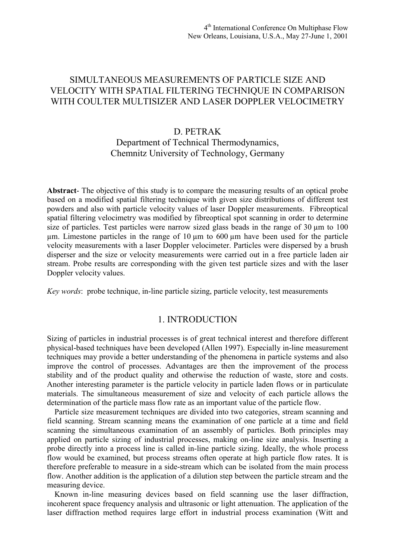## SIMULTANEOUS MEASUREMENTS OF PARTICLE SIZE AND VELOCITY WITH SPATIAL FILTERING TECHNIQUE IN COMPARISON WITH COULTER MULTISIZER AND LASER DOPPLER VELOCIMETRY

# D. PETRAK

# Department of Technical Thermodynamics, Chemnitz University of Technology, Germany

**Abstract**- The objective of this study is to compare the measuring results of an optical probe based on a modified spatial filtering technique with given size distributions of different test powders and also with particle velocity values of laser Doppler measurements. Fibreoptical spatial filtering velocimetry was modified by fibreoptical spot scanning in order to determine size of particles. Test particles were narrow sized glass beads in the range of  $30 \mu m$  to  $100$ µm. Limestone particles in the range of 10 µm to 600 µm have been used for the particle velocity measurements with a laser Doppler velocimeter. Particles were dispersed by a brush disperser and the size or velocity measurements were carried out in a free particle laden air stream. Probe results are corresponding with the given test particle sizes and with the laser Doppler velocity values.

*Key words*: probe technique, in-line particle sizing, particle velocity, test measurements

## 1. INTRODUCTION

Sizing of particles in industrial processes is of great technical interest and therefore different physical-based techniques have been developed (Allen 1997). Especially in-line measurement techniques may provide a better understanding of the phenomena in particle systems and also improve the control of processes. Advantages are then the improvement of the process stability and of the product quality and otherwise the reduction of waste, store and costs. Another interesting parameter is the particle velocity in particle laden flows or in particulate materials. The simultaneous measurement of size and velocity of each particle allows the determination of the particle mass flow rate as an important value of the particle flow.

Particle size measurement techniques are divided into two categories, stream scanning and field scanning. Stream scanning means the examination of one particle at a time and field scanning the simultaneous examination of an assembly of particles. Both principles may applied on particle sizing of industrial processes, making on-line size analysis. Inserting a probe directly into a process line is called in-line particle sizing. Ideally, the whole process flow would be examined, but process streams often operate at high particle flow rates. It is therefore preferable to measure in a side-stream which can be isolated from the main process flow. Another addition is the application of a dilution step between the particle stream and the measuring device.

Known in-line measuring devices based on field scanning use the laser diffraction, incoherent space frequency analysis and ultrasonic or light attenuation. The application of the laser diffraction method requires large effort in industrial process examination (Witt and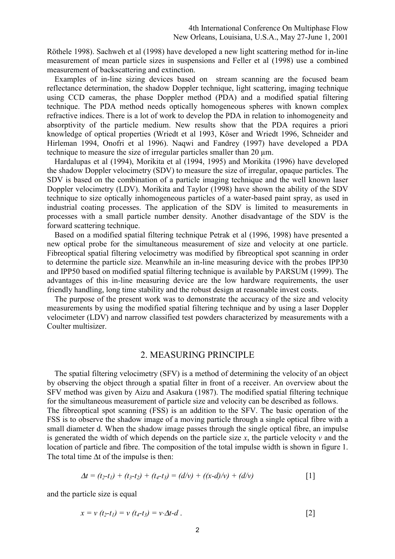Röthele 1998). Sachweh et al (1998) have developed a new light scattering method for in-line measurement of mean particle sizes in suspensions and Feller et al (1998) use a combined measurement of backscattering and extinction.

Examples of in-line sizing devices based on stream scanning are the focused beam reflectance determination, the shadow Doppler technique, light scattering, imaging technique using CCD cameras, the phase Doppler method (PDA) and a modified spatial filtering technique. The PDA method needs optically homogeneous spheres with known complex refractive indices. There is a lot of work to develop the PDA in relation to inhomogeneity and absorptivity of the particle medium. New results show that the PDA requires a priori knowledge of optical properties (Wriedt et al 1993, Köser and Wriedt 1996, Schneider and Hirleman 1994, Onofri et al 1996). Naqwi and Fandrey (1997) have developed a PDA technique to measure the size of irregular particles smaller than 20  $\mu$ m.

Hardalupas et al (1994), Morikita et al (1994, 1995) and Morikita (1996) have developed the shadow Doppler velocimetry (SDV) to measure the size of irregular, opaque particles. The SDV is based on the combination of a particle imaging technique and the well known laser Doppler velocimetry (LDV). Morikita and Taylor (1998) have shown the ability of the SDV technique to size optically inhomogeneous particles of a water-based paint spray, as used in industrial coating processes. The application of the SDV is limited to measurements in processes with a small particle number density. Another disadvantage of the SDV is the forward scattering technique.

Based on a modified spatial filtering technique Petrak et al (1996, 1998) have presented a new optical probe for the simultaneous measurement of size and velocity at one particle. Fibreoptical spatial filtering velocimetry was modified by fibreoptical spot scanning in order to determine the particle size. Meanwhile an in-line measuring device with the probes IPP30 and IPP50 based on modified spatial filtering technique is available by PARSUM (1999). The advantages of this in-line measuring device are the low hardware requirements, the user friendly handling, long time stability and the robust design at reasonable invest costs.

The purpose of the present work was to demonstrate the accuracy of the size and velocity measurements by using the modified spatial filtering technique and by using a laser Doppler velocimeter (LDV) and narrow classified test powders characterized by measurements with a Coulter multisizer.

## 2. MEASURING PRINCIPLE

The spatial filtering velocimetry (SFV) is a method of determining the velocity of an object by observing the object through a spatial filter in front of a receiver. An overview about the SFV method was given by Aizu and Asakura (1987). The modified spatial filtering technique for the simultaneous measurement of particle size and velocity can be described as follows. The fibreoptical spot scanning (FSS) is an addition to the SFV. The basic operation of the FSS is to observe the shadow image of a moving particle through a single optical fibre with a small diameter d. When the shadow image passes through the single optical fibre, an impulse is generated the width of which depends on the particle size *x*, the particle velocity *v* and the location of particle and fibre. The composition of the total impulse width is shown in figure 1. The total time ∆t of the impulse is then:

$$
\Delta t = (t_2-t_1) + (t_3-t_2) + (t_4-t_3) = (d/v) + ((x-d)/v) + (d/v)
$$
 [1]

and the particle size is equal

$$
x = v(t_2-t_1) = v(t_4-t_3) = v \cdot \Delta t - d \ . \tag{2}
$$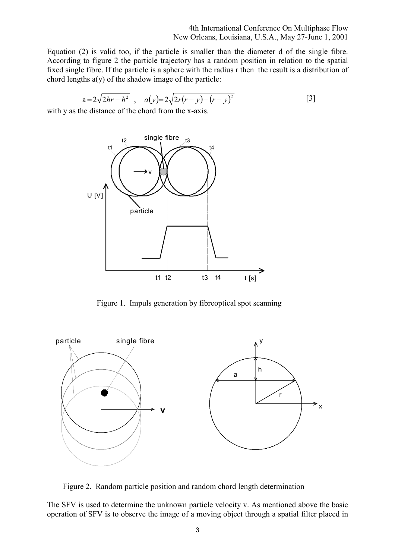Equation (2) is valid too, if the particle is smaller than the diameter d of the single fibre. According to figure 2 the particle trajectory has a random position in relation to the spatial fixed single fibre. If the particle is a sphere with the radius r then the result is a distribution of chord lengths a(y) of the shadow image of the particle:

$$
a = 2\sqrt{2hr - h^2}
$$
,  $a(y) = 2\sqrt{2r(r - y) - (r - y)^2}$  [3]

with y as the distance of the chord from the x-axis.



Figure 1. Impuls generation by fibreoptical spot scanning



Figure 2. Random particle position and random chord length determination

The SFV is used to determine the unknown particle velocity v. As mentioned above the basic operation of SFV is to observe the image of a moving object through a spatial filter placed in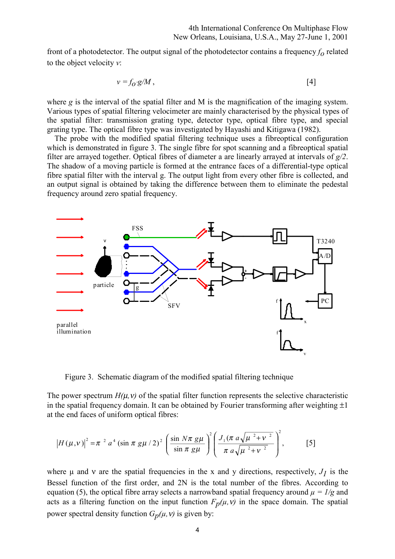front of a photodetector. The output signal of the photodetector contains a frequency  $f_0$  related to the object velocity *v*:

$$
v = f_O \cdot g/M \tag{4}
$$

where *g* is the interval of the spatial filter and M is the magnification of the imaging system. Various types of spatial filtering velocimeter are mainly characterised by the physical types of the spatial filter: transmission grating type, detector type, optical fibre type, and special grating type. The optical fibre type was investigated by Hayashi and Kitigawa (1982).

The probe with the modified spatial filtering technique uses a fibreoptical configuration which is demonstrated in figure 3. The single fibre for spot scanning and a fibreoptical spatial filter are arrayed together. Optical fibres of diameter a are linearly arrayed at intervals of *g/2*. The shadow of a moving particle is formed at the entrance faces of a differential-type optical fibre spatial filter with the interval g. The output light from every other fibre is collected, and an output signal is obtained by taking the difference between them to eliminate the pedestal frequency around zero spatial frequency.



Figure 3. Schematic diagram of the modified spatial filtering technique

The power spectrum  $H(\mu, \nu)$  of the spatial filter function represents the selective characteristic in the spatial frequency domain. It can be obtained by Fourier transforming after weighting  $\pm 1$ at the end faces of uniform optical fibres:

$$
\left|H(\mu, v)\right|^2 = \pi^2 a^4 \left(\sin \pi g \mu / 2\right)^2 \left(\frac{\sin N\pi g \mu}{\sin \pi g \mu}\right)^2 \left(\frac{J_1(\pi a \sqrt{\mu^2 + v^2})}{\pi a \sqrt{\mu^2 + v^2}}\right)^2, \quad [5]
$$

where  $\mu$  and  $\nu$  are the spatial frequencies in the x and y directions, respectively,  $J_1$  is the Bessel function of the first order, and 2N is the total number of the fibres. According to equation (5), the optical fibre array selects a narrowband spatial frequency around  $\mu = I/g$  and acts as a filtering function on the input function  $F_p(\mu, \nu)$  in the space domain. The spatial power spectral density function  $G_p(\mu, \nu)$  is given by: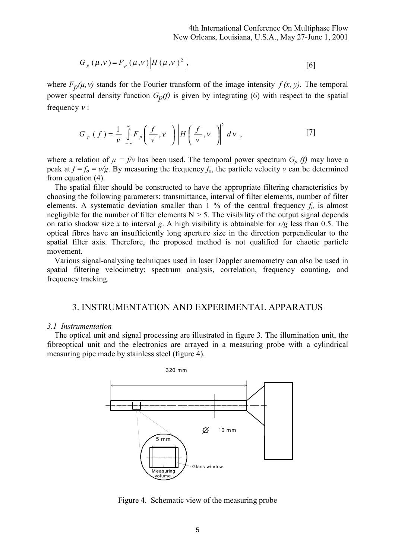$$
G_{p}(\mu, v) = F_{p}(\mu, v) |H(\mu, v)|^{2}, \tag{6}
$$

where  $F_p(\mu, \nu)$  stands for the Fourier transform of the image intensity  $f(x, y)$ . The temporal power spectral density function  $G_p(f)$  is given by integrating (6) with respect to the spatial frequency ν :

$$
G_{p}(f) = \frac{1}{\nu} \int_{-\infty}^{\infty} F_{p}\left(\frac{f}{\nu}, \nu\right) \left|H\left(\frac{f}{\nu}, \nu\right)\right|^{2} d\nu , \qquad [7]
$$

where a relation of  $\mu = f/v$  has been used. The temporal power spectrum  $G_p$  (f) may have a peak at  $f = f_0 = v/g$ . By measuring the frequency  $f_0$ , the particle velocity *v* can be determined from equation (4).

The spatial filter should be constructed to have the appropriate filtering characteristics by choosing the following parameters: transmittance, interval of filter elements, number of filter elements. A systematic deviation smaller than  $1\%$  of the central frequency  $f_0$  is almost negligible for the number of filter elements  $N > 5$ . The visibility of the output signal depends on ratio shadow size *x* to interval *g*. A high visibility is obtainable for *x/g* less than 0.5. The optical fibres have an insufficiently long aperture size in the direction perpendicular to the spatial filter axis. Therefore, the proposed method is not qualified for chaotic particle movement.

Various signal-analysing techniques used in laser Doppler anemometry can also be used in spatial filtering velocimetry: spectrum analysis, correlation, frequency counting, and frequency tracking.

## 3. INSTRUMENTATION AND EXPERIMENTAL APPARATUS

#### *3.1 Instrumentation*

The optical unit and signal processing are illustrated in figure 3. The illumination unit, the fibreoptical unit and the electronics are arrayed in a measuring probe with a cylindrical measuring pipe made by stainless steel (figure 4).



Figure 4. Schematic view of the measuring probe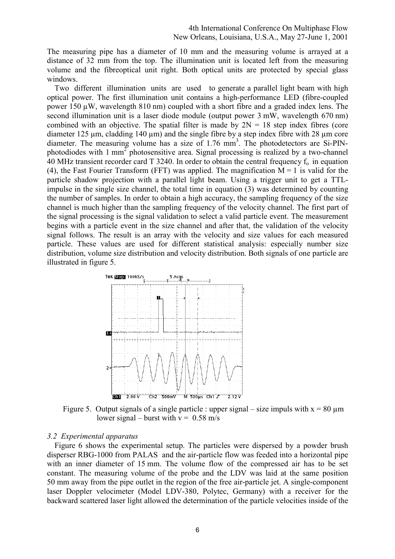The measuring pipe has a diameter of 10 mm and the measuring volume is arrayed at a distance of 32 mm from the top. The illumination unit is located left from the measuring volume and the fibreoptical unit right. Both optical units are protected by special glass windows.

Two different illumination units are used to generate a parallel light beam with high optical power. The first illumination unit contains a high-performance LED (fibre-coupled power 150 µW, wavelength 810 nm) coupled with a short fibre and a graded index lens. The second illumination unit is a laser diode module (output power 3 mW, wavelength 670 nm) combined with an objective. The spatial filter is made by  $2N = 18$  step index fibres (core diameter 125  $\mu$ m, cladding 140  $\mu$ m) and the single fibre by a step index fibre with 28  $\mu$ m core diameter. The measuring volume has a size of 1.76 mm<sup>3</sup>. The photodetectors are Si-PINphotodiodes with 1 mm<sup>2</sup> photosensitive area. Signal processing is realized by a two-channel 40 MHz transient recorder card  $T$  3240. In order to obtain the central frequency  $f_0$  in equation (4), the Fast Fourier Transform (FFT) was applied. The magnification  $M = 1$  is valid for the particle shadow projection with a parallel light beam. Using a trigger unit to get a TTLimpulse in the single size channel, the total time in equation (3) was determined by counting the number of samples. In order to obtain a high accuracy, the sampling frequency of the size channel is much higher than the sampling frequency of the velocity channel. The first part of the signal processing is the signal validation to select a valid particle event. The measurement begins with a particle event in the size channel and after that, the validation of the velocity signal follows. The result is an array with the velocity and size values for each measured particle. These values are used for different statistical analysis: especially number size distribution, volume size distribution and velocity distribution. Both signals of one particle are illustrated in figure 5.



Figure 5. Output signals of a single particle : upper signal – size impuls with  $x = 80 \mu m$ lower signal – burst with  $v = 0.58$  m/s

### *3.2 Experimental apparatus*

Figure 6 shows the experimental setup. The particles were dispersed by a powder brush disperser RBG-1000 from PALAS and the air-particle flow was feeded into a horizontal pipe with an inner diameter of 15 mm. The volume flow of the compressed air has to be set constant. The measuring volume of the probe and the LDV was laid at the same position 50 mm away from the pipe outlet in the region of the free air-particle jet. A single-component laser Doppler velocimeter (Model LDV-380, Polytec, Germany) with a receiver for the backward scattered laser light allowed the determination of the particle velocities inside of the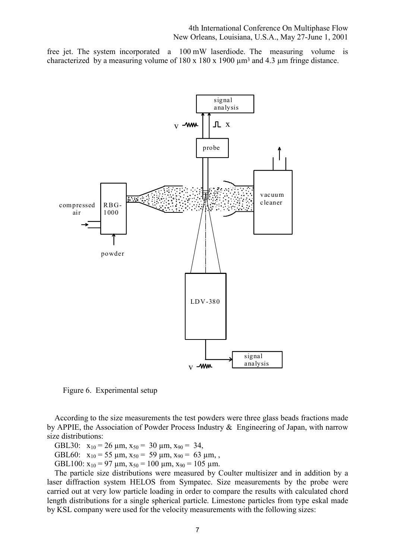free jet. The system incorporated a 100 mW laserdiode. The measuring volume is characterized by a measuring volume of  $180 \times 180 \times 1900 \mu m^3$  and  $4.3 \mu m$  fringe distance.



Figure 6. Experimental setup

According to the size measurements the test powders were three glass beads fractions made by APPIE, the Association of Powder Process Industry & Engineering of Japan, with narrow size distributions:

GBL30:  $x_{10} = 26 \mu m$ ,  $x_{50} = 30 \mu m$ ,  $x_{90} = 34$ ,

GBL60:  $x_{10} = 55 \text{ µm}, x_{50} = 59 \text{ µm}, x_{90} = 63 \text{ µm},$ 

GBL100:  $x_{10} = 97 \text{ µm}, x_{50} = 100 \text{ µm}, x_{90} = 105 \text{ µm}.$ 

The particle size distributions were measured by Coulter multisizer and in addition by a laser diffraction system HELOS from Sympatec. Size measurements by the probe were carried out at very low particle loading in order to compare the results with calculated chord length distributions for a single spherical particle. Limestone particles from type eskal made by KSL company were used for the velocity measurements with the following sizes: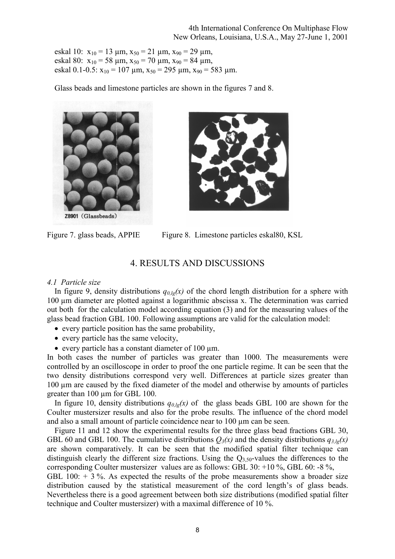eskal 10:  $x_{10} = 13 \mu m$ ,  $x_{50} = 21 \mu m$ ,  $x_{90} = 29 \mu m$ , eskal 80:  $x_{10} = 58 \text{ µm}, x_{50} = 70 \text{ µm}, x_{90} = 84 \text{ µm},$ eskal 0.1-0.5:  $x_{10} = 107 \text{ µm}, x_{50} = 295 \text{ µm}, x_{90} = 583 \text{ µm}.$ 

Glass beads and limestone particles are shown in the figures 7 and 8.



(Glassbeads)



Figure 7. glass beads, APPIE Figure 8. Limestone particles eskal80, KSL

## 4. RESULTS AND DISCUSSIONS

#### *4.1 Particle size*

In figure 9, density distributions  $q_{0,lg}(x)$  of the chord length distribution for a sphere with 100 µm diameter are plotted against a logarithmic abscissa x. The determination was carried out both for the calculation model according equation (3) and for the measuring values of the glass bead fraction GBL 100. Following assumptions are valid for the calculation model:

- every particle position has the same probability,
- every particle has the same velocity,
- every particle has a constant diameter of 100  $\mu$ m.

In both cases the number of particles was greater than 1000. The measurements were controlled by an oscilloscope in order to proof the one particle regime. It can be seen that the two density distributions correspond very well. Differences at particle sizes greater than 100 µm are caused by the fixed diameter of the model and otherwise by amounts of particles greater than 100 µm for GBL 100.

In figure 10, density distributions  $q_{0,1g}(x)$  of the glass beads GBL 100 are shown for the Coulter mustersizer results and also for the probe results. The influence of the chord model and also a small amount of particle coincidence near to 100  $\mu$ m can be seen.

Figure 11 and 12 show the experimental results for the three glass bead fractions GBL 30, GBL 60 and GBL 100. The cumulative distributions  $Q_3(x)$  and the density distributions  $q_{3,lg}(x)$ are shown comparatively. It can be seen that the modified spatial filter technique can distinguish clearly the different size fractions. Using the  $Q_3$ ,  $q_0$ -values the differences to the corresponding Coulter mustersizer values are as follows: GBL 30: +10 %, GBL 60: -8 %,

GBL 100:  $+$  3 %. As expected the results of the probe measurements show a broader size distribution caused by the statistical measurement of the cord length's of glass beads. Nevertheless there is a good agreement between both size distributions (modified spatial filter technique and Coulter mustersizer) with a maximal difference of 10 %.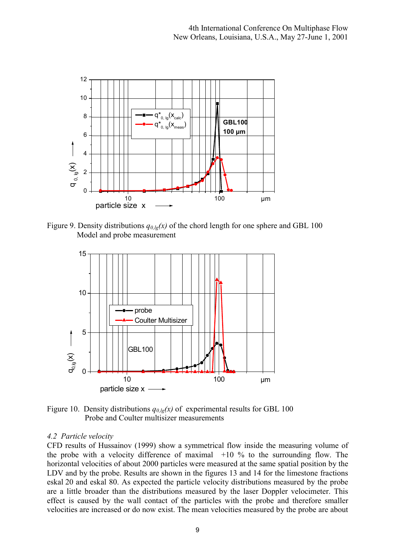

Figure 9. Density distributions  $q_{0,lg}(x)$  of the chord length for one sphere and GBL 100 Model and probe measurement



Figure 10. Density distributions  $q_{0,lg}(x)$  of experimental results for GBL 100 Probe and Coulter multisizer measurements

### *4.2 Particle velocity*

CFD results of Hussainov (1999) show a symmetrical flow inside the measuring volume of the probe with a velocity difference of maximal  $+10\%$  to the surrounding flow. The horizontal velocities of about 2000 particles were measured at the same spatial position by the LDV and by the probe. Results are shown in the figures 13 and 14 for the limestone fractions eskal 20 and eskal 80. As expected the particle velocity distributions measured by the probe are a little broader than the distributions measured by the laser Doppler velocimeter. This effect is caused by the wall contact of the particles with the probe and therefore smaller velocities are increased or do now exist. The mean velocities measured by the probe are about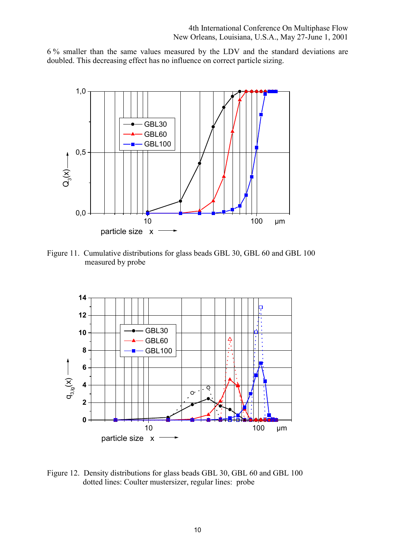6 % smaller than the same values measured by the LDV and the standard deviations are doubled. This decreasing effect has no influence on correct particle sizing.



Figure 11. Cumulative distributions for glass beads GBL 30, GBL 60 and GBL 100 measured by probe



Figure 12. Density distributions for glass beads GBL 30, GBL 60 and GBL 100 dotted lines: Coulter mustersizer, regular lines: probe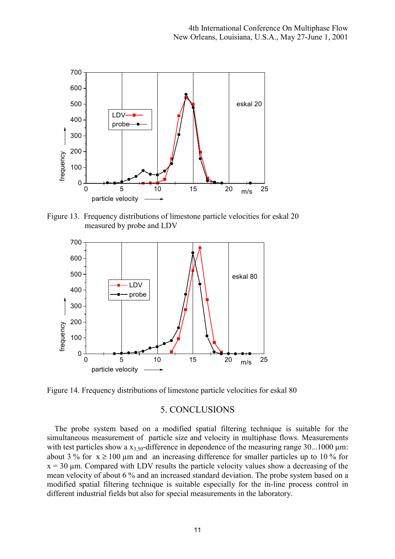

Figure 13. Frequency distributions of limestone particle velocities for eskal 20 measured by probe and LDV



Figure 14. Frequency distributions of limestone particle velocities for eskal 80

## 5. CONCLUSIONS

The probe system based on a modified spatial filtering technique is suitable for the simultaneous measurement of particle size and velocity in multiphase flows. Measurements with test particles show a  $x_{3,50}$ -difference in dependence of the measuring range 30...1000  $\mu$ m: about 3 % for  $x \ge 100$  µm and an increasing difference for smaller particles up to 10 % for  $x = 30 \mu m$ . Compared with LDV results the particle velocity values show a decreasing of the mean velocity of about 6 % and an increased standard deviation. The probe system based on a modified spatial filtering technique is suitable especially for the in-line process control in different industrial fields but also for special measurements in the laboratory.